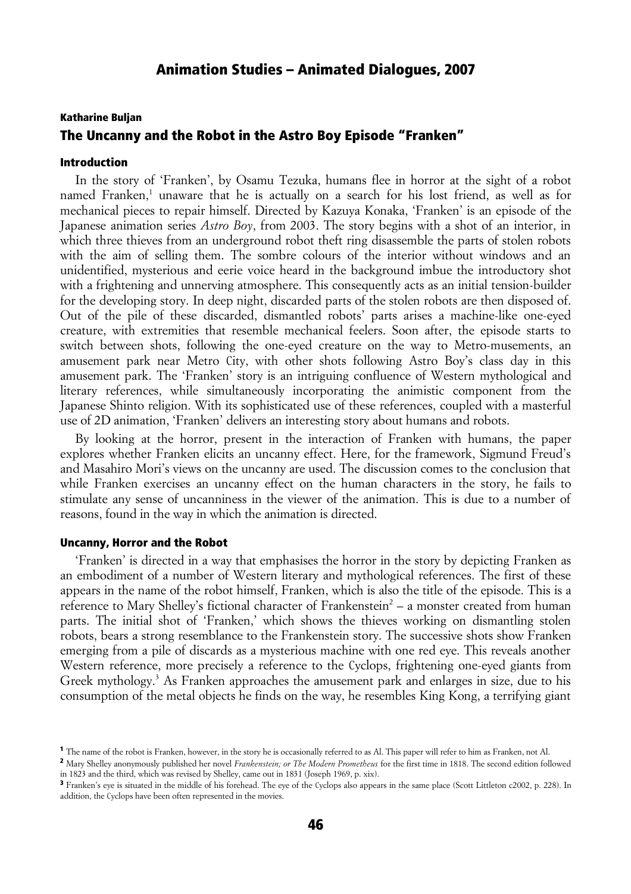## Katharine Buljan The Uncanny and the Robot in the Astro Boy Episode "Franken"

#### Introduction

In the story of 'Franken', by Osamu Tezuka, humans flee in horror at the sight of a robot named Franken,<sup>[1](#page-0-0)</sup> unaware that he is actually on a search for his lost friend, as well as for mechanical pieces to repair himself. Directed by Kazuya Konaka, 'Franken' is an episode of the Japanese animation series *Astro Boy*, from 2003. The story begins with a shot of an interior, in which three thieves from an underground robot theft ring disassemble the parts of stolen robots with the aim of selling them. The sombre colours of the interior without windows and an unidentified, mysterious and eerie voice heard in the background imbue the introductory shot with a frightening and unnerving atmosphere. This consequently acts as an initial tension-builder for the developing story. In deep night, discarded parts of the stolen robots are then disposed of. Out of the pile of these discarded, dismantled robots' parts arises a machine-like one-eyed creature, with extremities that resemble mechanical feelers. Soon after, the episode starts to switch between shots, following the one-eyed creature on the way to Metro-musements, an amusement park near Metro City, with other shots following Astro Boy's class day in this amusement park. The 'Franken' story is an intriguing confluence of Western mythological and literary references, while simultaneously incorporating the animistic component from the Japanese Shinto religion. With its sophisticated use of these references, coupled with a masterful use of 2D animation, 'Franken' delivers an interesting story about humans and robots.

By looking at the horror, present in the interaction of Franken with humans, the paper explores whether Franken elicits an uncanny effect. Here, for the framework, Sigmund Freud's and Masahiro Mori's views on the uncanny are used. The discussion comes to the conclusion that while Franken exercises an uncanny effect on the human characters in the story, he fails to stimulate any sense of uncanniness in the viewer of the animation. This is due to a number of reasons, found in the way in which the animation is directed.

#### Uncanny, Horror and the Robot

'Franken' is directed in a way that emphasises the horror in the story by depicting Franken as an embodiment of a number of Western literary and mythological references. The first of these appears in the name of the robot himself, Franken, which is also the title of the episode. This is a reference to Mary Shelley's fictional character of Frankenstein<sup>[2](#page-0-1)</sup> – a monster created from human parts. The initial shot of 'Franken,' which shows the thieves working on dismantling stolen robots, bears a strong resemblance to the Frankenstein story. The successive shots show Franken emerging from a pile of discards as a mysterious machine with one red eye. This reveals another Western reference, more precisely a reference to the Cyclops, frightening one-eyed giants from Greek mythology.<sup>[3](#page-0-2)</sup> As Franken approaches the amusement park and enlarges in size, due to his consumption of the metal objects he finds on the way, he resembles King Kong, a terrifying giant

<span id="page-0-0"></span><sup>1</sup> The name of the robot is Franken, however, in the story he is occasionally referred to as Al. This paper will refer to him as Franken, not Al.

<span id="page-0-1"></span><sup>2</sup> Mary Shelley anonymously published her novel *Frankenstein; or The Modern Prometheus* for the first time in 1818. The second edition followed in 1823 and the third, which was revised by Shelley, came out in 1831 (Joseph 1969, p. xix).

<span id="page-0-2"></span><sup>&</sup>lt;sup>3</sup> Franken's eye is situated in the middle of his forehead. The eye of the Cyclops also appears in the same place (Scott Littleton c2002, p. 228). In addition, the Cyclops have been often represented in the movies.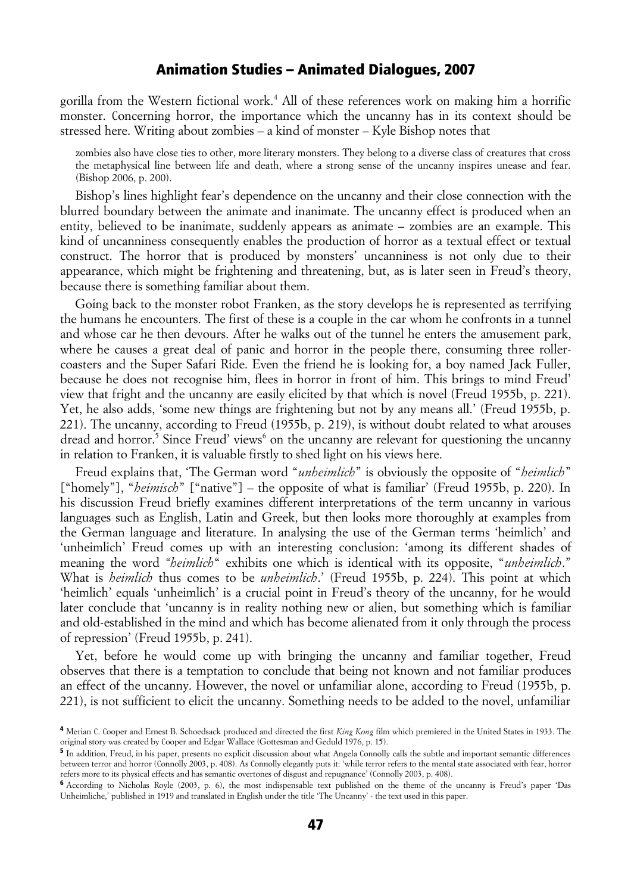gorilla from the Western fictional work.<sup>[4](#page-1-0)</sup> All of these references work on making him a horrific monster. Concerning horror, the importance which the uncanny has in its context should be stressed here. Writing about zombies – a kind of monster – Kyle Bishop notes that

zombies also have close ties to other, more literary monsters. They belong to a diverse class of creatures that cross the metaphysical line between life and death, where a strong sense of the uncanny inspires unease and fear. (Bishop 2006, p. 200).

Bishop's lines highlight fear's dependence on the uncanny and their close connection with the blurred boundary between the animate and inanimate. The uncanny effect is produced when an entity, believed to be inanimate, suddenly appears as animate – zombies are an example. This kind of uncanniness consequently enables the production of horror as a textual effect or textual construct. The horror that is produced by monsters' uncanniness is not only due to their appearance, which might be frightening and threatening, but, as is later seen in Freud's theory, because there is something familiar about them.

Going back to the monster robot Franken, as the story develops he is represented as terrifying the humans he encounters. The first of these is a couple in the car whom he confronts in a tunnel and whose car he then devours. After he walks out of the tunnel he enters the amusement park, where he causes a great deal of panic and horror in the people there, consuming three rollercoasters and the Super Safari Ride. Even the friend he is looking for, a boy named Jack Fuller, because he does not recognise him, flees in horror in front of him. This brings to mind Freud' view that fright and the uncanny are easily elicited by that which is novel (Freud 1955b, p. 221). Yet, he also adds, 'some new things are frightening but not by any means all.' (Freud 1955b, p. 221). The uncanny, according to Freud (1955b, p. 219), is without doubt related to what arouses dread and horror.<sup>[5](#page-1-1)</sup> Since Freud' views<sup>[6](#page-1-2)</sup> on the uncanny are relevant for questioning the uncanny in relation to Franken, it is valuable firstly to shed light on his views here.

Freud explains that, 'The German word "*unheimlich*" is obviously the opposite of "*heimlich*" ["homely"], "*heimisch*" ["native"] – the opposite of what is familiar' (Freud 1955b, p. 220). In his discussion Freud briefly examines different interpretations of the term uncanny in various languages such as English, Latin and Greek, but then looks more thoroughly at examples from the German language and literature. In analysing the use of the German terms 'heimlich' and 'unheimlich' Freud comes up with an interesting conclusion: 'among its different shades of meaning the word *"heimlich*" exhibits one which is identical with its opposite, "*unheimlich*." What is *heimlich* thus comes to be *unheimlich*.' (Freud 1955b, p. 224). This point at which 'heimlich' equals 'unheimlich' is a crucial point in Freud's theory of the uncanny, for he would later conclude that 'uncanny is in reality nothing new or alien, but something which is familiar and old-established in the mind and which has become alienated from it only through the process of repression' (Freud 1955b, p. 241).

Yet, before he would come up with bringing the uncanny and familiar together, Freud observes that there is a temptation to conclude that being not known and not familiar produces an effect of the uncanny. However, the novel or unfamiliar alone, according to Freud (1955b, p. 221), is not sufficient to elicit the uncanny. Something needs to be added to the novel, unfamiliar

<span id="page-1-0"></span><sup>4</sup> Merian C. Cooper and Ernest B. Schoedsack produced and directed the first *King Kong* film which premiered in the United States in 1933. The original story was created by Cooper and Edgar Wallace (Gottesman and Geduld 1976, p. 15).

<span id="page-1-1"></span><sup>&</sup>lt;sup>5</sup> In addition, Freud, in his paper, presents no explicit discussion about what Angela Connolly calls the subtle and important semantic differences between terror and horror (Connolly 2003, p. 408). As Connolly elegantly puts it: 'while terror refers to the mental state associated with fear, horror refers more to its physical effects and has semantic overtones of disgust and repugnance' (Connolly 2003, p. 408).

<span id="page-1-2"></span><sup>6</sup> According to Nicholas Royle (2003, p. 6), the most indispensable text published on the theme of the uncanny is Freud's paper 'Das Unheimliche,' published in 1919 and translated in English under the title 'The Uncanny' - the text used in this paper.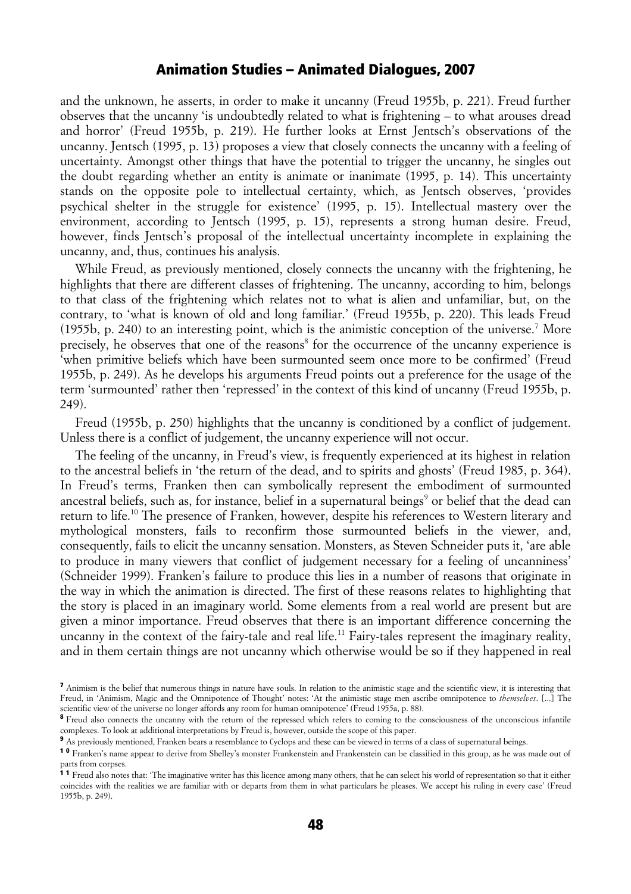and the unknown, he asserts, in order to make it uncanny (Freud 1955b, p. 221). Freud further observes that the uncanny 'is undoubtedly related to what is frightening – to what arouses dread and horror' (Freud 1955b, p. 219). He further looks at Ernst Jentsch's observations of the uncanny. Jentsch (1995, p. 13) proposes a view that closely connects the uncanny with a feeling of uncertainty. Amongst other things that have the potential to trigger the uncanny, he singles out the doubt regarding whether an entity is animate or inanimate (1995, p. 14). This uncertainty stands on the opposite pole to intellectual certainty, which, as Jentsch observes, 'provides psychical shelter in the struggle for existence' (1995, p. 15). Intellectual mastery over the environment, according to Jentsch (1995, p. 15), represents a strong human desire. Freud, however, finds Jentsch's proposal of the intellectual uncertainty incomplete in explaining the uncanny, and, thus, continues his analysis.

While Freud, as previously mentioned, closely connects the uncanny with the frightening, he highlights that there are different classes of frightening. The uncanny, according to him, belongs to that class of the frightening which relates not to what is alien and unfamiliar, but, on the contrary, to 'what is known of old and long familiar.' (Freud 1955b, p. 220). This leads Freud  $(1955b, p. 240)$  to an interesting point, which is the animistic conception of the universe.<sup>[7](#page-2-0)</sup> More precisely, he observes that one of the reasons<sup>[8](#page-2-1)</sup> for the occurrence of the uncanny experience is 'when primitive beliefs which have been surmounted seem once more to be confirmed' (Freud 1955b, p. 249). As he develops his arguments Freud points out a preference for the usage of the term 'surmounted' rather then 'repressed' in the context of this kind of uncanny (Freud 1955b, p. 249).

Freud (1955b, p. 250) highlights that the uncanny is conditioned by a conflict of judgement. Unless there is a conflict of judgement, the uncanny experience will not occur.

The feeling of the uncanny, in Freud's view, is frequently experienced at its highest in relation to the ancestral beliefs in 'the return of the dead, and to spirits and ghosts' (Freud 1985, p. 364). In Freud's terms, Franken then can symbolically represent the embodiment of surmounted ancestral beliefs, such as, for instance, belief in a supernatural beings<sup>[9](#page-2-2)</sup> or belief that the dead can return to life.<sup>[10](#page-2-3)</sup> The presence of Franken, however, despite his references to Western literary and mythological monsters, fails to reconfirm those surmounted beliefs in the viewer, and, consequently, fails to elicit the uncanny sensation. Monsters, as Steven Schneider puts it, 'are able to produce in many viewers that conflict of judgement necessary for a feeling of uncanniness' (Schneider 1999). Franken's failure to produce this lies in a number of reasons that originate in the way in which the animation is directed. The first of these reasons relates to highlighting that the story is placed in an imaginary world. Some elements from a real world are present but are given a minor importance. Freud observes that there is an important difference concerning the uncanny in the context of the fairy-tale and real life.<sup>[11](#page-2-4)</sup> Fairy-tales represent the imaginary reality, and in them certain things are not uncanny which otherwise would be so if they happened in real

<span id="page-2-0"></span><sup>7</sup> Animism is the belief that numerous things in nature have souls. In relation to the animistic stage and the scientific view, it is interesting that Freud, in 'Animism, Magic and the Omnipotence of Thought' notes: 'At the animistic stage men ascribe omnipotence to *themselves*. [...] The scientific view of the universe no longer affords any room for human omnipotence' (Freud 1955a, p. 88).

<span id="page-2-1"></span><sup>8</sup> Freud also connects the uncanny with the return of the repressed which refers to coming to the consciousness of the unconscious infantile complexes. To look at additional interpretations by Freud is, however, outside the scope of this paper.

<span id="page-2-2"></span><sup>9</sup> As previously mentioned, Franken bears a resemblance to Cyclops and these can be viewed in terms of a class of supernatural beings.

<span id="page-2-3"></span><sup>&</sup>lt;sup>10</sup> Franken's name appear to derive from Shelley's monster Frankenstein and Frankenstein can be classified in this group, as he was made out of parts from corpses.

<span id="page-2-4"></span><sup>&</sup>lt;sup>1</sup> <sup>1</sup> Freud also notes that: 'The imaginative writer has this licence among many others, that he can select his world of representation so that it either coincides with the realities we are familiar with or departs from them in what particulars he pleases. We accept his ruling in every case' (Freud 1955b, p. 249).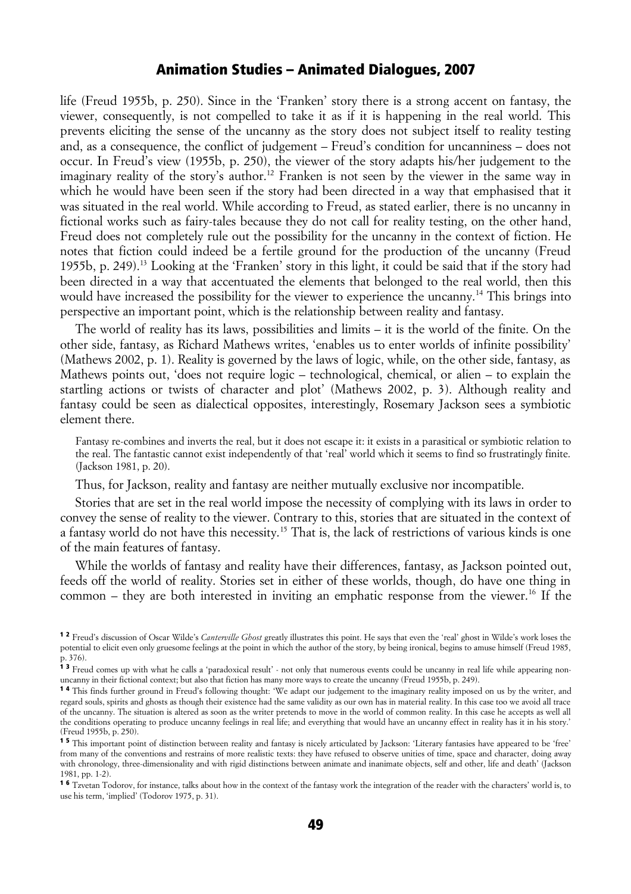life (Freud 1955b, p. 250). Since in the 'Franken' story there is a strong accent on fantasy, the viewer, consequently, is not compelled to take it as if it is happening in the real world. This prevents eliciting the sense of the uncanny as the story does not subject itself to reality testing and, as a consequence, the conflict of judgement – Freud's condition for uncanniness – does not occur. In Freud's view (1955b, p. 250), the viewer of the story adapts his/her judgement to the imaginary reality of the story's author.<sup>[12](#page-3-0)</sup> Franken is not seen by the viewer in the same way in which he would have been seen if the story had been directed in a way that emphasised that it was situated in the real world. While according to Freud, as stated earlier, there is no uncanny in fictional works such as fairy-tales because they do not call for reality testing, on the other hand, Freud does not completely rule out the possibility for the uncanny in the context of fiction. He notes that fiction could indeed be a fertile ground for the production of the uncanny (Freud 1955b, p. 249).[13](#page-3-1) Looking at the 'Franken' story in this light, it could be said that if the story had been directed in a way that accentuated the elements that belonged to the real world, then this would have increased the possibility for the viewer to experience the uncanny.<sup>[14](#page-3-2)</sup> This brings into perspective an important point, which is the relationship between reality and fantasy.

The world of reality has its laws, possibilities and limits – it is the world of the finite. On the other side, fantasy, as Richard Mathews writes, 'enables us to enter worlds of infinite possibility' (Mathews 2002, p. 1). Reality is governed by the laws of logic, while, on the other side, fantasy, as Mathews points out, 'does not require logic – technological, chemical, or alien – to explain the startling actions or twists of character and plot' (Mathews 2002, p. 3). Although reality and fantasy could be seen as dialectical opposites, interestingly, Rosemary Jackson sees a symbiotic element there.

Fantasy re-combines and inverts the real, but it does not escape it: it exists in a parasitical or symbiotic relation to the real. The fantastic cannot exist independently of that 'real' world which it seems to find so frustratingly finite. (Jackson 1981, p. 20).

Thus, for Jackson, reality and fantasy are neither mutually exclusive nor incompatible.

Stories that are set in the real world impose the necessity of complying with its laws in order to convey the sense of reality to the viewer. Contrary to this, stories that are situated in the context of a fantasy world do not have this necessity.<sup>[15](#page-3-3)</sup> That is, the lack of restrictions of various kinds is one of the main features of fantasy.

While the worlds of fantasy and reality have their differences, fantasy, as Jackson pointed out, feeds off the world of reality. Stories set in either of these worlds, though, do have one thing in common – they are both interested in inviting an emphatic response from the viewer.<sup>[16](#page-3-4)</sup> If the

<span id="page-3-0"></span><sup>1 2</sup> Freud's discussion of Oscar Wilde's *Canterville Ghost* greatly illustrates this point. He says that even the 'real' ghost in Wilde's work loses the potential to elicit even only gruesome feelings at the point in which the author of the story, by being ironical, begins to amuse himself (Freud 1985, p. 376).

<span id="page-3-1"></span><sup>&</sup>lt;sup>1</sup><sup>3</sup> Freud comes up with what he calls a 'paradoxical result' - not only that numerous events could be uncanny in real life while appearing nonuncanny in their fictional context; but also that fiction has many more ways to create the uncanny (Freud 1955b, p. 249).

<span id="page-3-2"></span><sup>&</sup>lt;sup>14</sup> This finds further ground in Freud's following thought: 'We adapt our judgement to the imaginary reality imposed on us by the writer, and regard souls, spirits and ghosts as though their existence had the same validity as our own has in material reality. In this case too we avoid all trace of the uncanny. The situation is altered as soon as the writer pretends to move in the world of common reality. In this case he accepts as well all the conditions operating to produce uncanny feelings in real life; and everything that would have an uncanny effect in reality has it in his story.' (Freud 1955b, p. 250).

<span id="page-3-3"></span><sup>&</sup>lt;sup>15</sup> This important point of distinction between reality and fantasy is nicely articulated by Jackson: 'Literary fantasies have appeared to be 'free' from many of the conventions and restrains of more realistic texts: they have refused to observe unities of time, space and character, doing away with chronology, three-dimensionality and with rigid distinctions between animate and inanimate objects, self and other, life and death' (Jackson 1981, pp. 1-2).

<span id="page-3-4"></span><sup>&</sup>lt;sup>16</sup> Tzvetan Todorov, for instance, talks about how in the context of the fantasy work the integration of the reader with the characters' world is, to use his term, 'implied' (Todorov 1975, p. 31).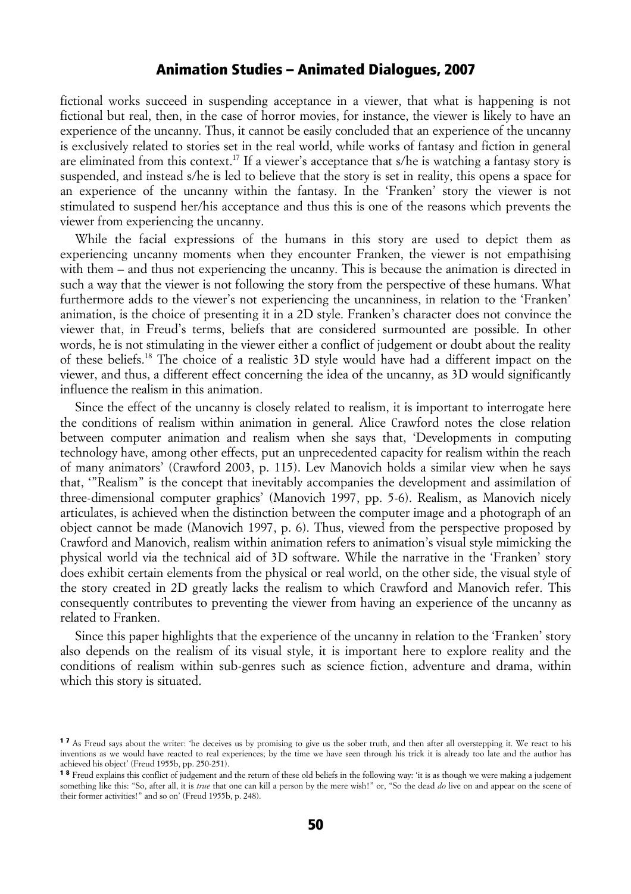fictional works succeed in suspending acceptance in a viewer, that what is happening is not fictional but real, then, in the case of horror movies, for instance, the viewer is likely to have an experience of the uncanny. Thus, it cannot be easily concluded that an experience of the uncanny is exclusively related to stories set in the real world, while works of fantasy and fiction in general are eliminated from this context.<sup>[17](#page-4-0)</sup> If a viewer's acceptance that s/he is watching a fantasy story is suspended, and instead s/he is led to believe that the story is set in reality, this opens a space for an experience of the uncanny within the fantasy. In the 'Franken' story the viewer is not stimulated to suspend her/his acceptance and thus this is one of the reasons which prevents the viewer from experiencing the uncanny.

While the facial expressions of the humans in this story are used to depict them as experiencing uncanny moments when they encounter Franken, the viewer is not empathising with them – and thus not experiencing the uncanny. This is because the animation is directed in such a way that the viewer is not following the story from the perspective of these humans. What furthermore adds to the viewer's not experiencing the uncanniness, in relation to the 'Franken' animation, is the choice of presenting it in a 2D style. Franken's character does not convince the viewer that, in Freud's terms, beliefs that are considered surmounted are possible. In other words, he is not stimulating in the viewer either a conflict of judgement or doubt about the reality of these beliefs.[18](#page-4-1) The choice of a realistic 3D style would have had a different impact on the viewer, and thus, a different effect concerning the idea of the uncanny, as 3D would significantly influence the realism in this animation.

Since the effect of the uncanny is closely related to realism, it is important to interrogate here the conditions of realism within animation in general. Alice Crawford notes the close relation between computer animation and realism when she says that, 'Developments in computing technology have, among other effects, put an unprecedented capacity for realism within the reach of many animators' (Crawford 2003, p. 115). Lev Manovich holds a similar view when he says that, '"Realism" is the concept that inevitably accompanies the development and assimilation of three-dimensional computer graphics' (Manovich 1997, pp. 5-6). Realism, as Manovich nicely articulates, is achieved when the distinction between the computer image and a photograph of an object cannot be made (Manovich 1997, p. 6). Thus, viewed from the perspective proposed by Crawford and Manovich, realism within animation refers to animation's visual style mimicking the physical world via the technical aid of 3D software. While the narrative in the 'Franken' story does exhibit certain elements from the physical or real world, on the other side, the visual style of the story created in 2D greatly lacks the realism to which Crawford and Manovich refer. This consequently contributes to preventing the viewer from having an experience of the uncanny as related to Franken.

Since this paper highlights that the experience of the uncanny in relation to the 'Franken' story also depends on the realism of its visual style, it is important here to explore reality and the conditions of realism within sub-genres such as science fiction, adventure and drama, within which this story is situated.

<span id="page-4-0"></span><sup>&</sup>lt;sup>17</sup> As Freud says about the writer: 'he deceives us by promising to give us the sober truth, and then after all overstepping it. We react to his inventions as we would have reacted to real experiences; by the time we have seen through his trick it is already too late and the author has achieved his object' (Freud 1955b, pp. 250-251).

<span id="page-4-1"></span><sup>&</sup>lt;sup>18</sup> Freud explains this conflict of judgement and the return of these old beliefs in the following way: 'it is as though we were making a judgement something like this: "So, after all, it is *true* that one can kill a person by the mere wish!" or, "So the dead *do* live on and appear on the scene of their former activities!" and so on' (Freud 1955b, p. 248).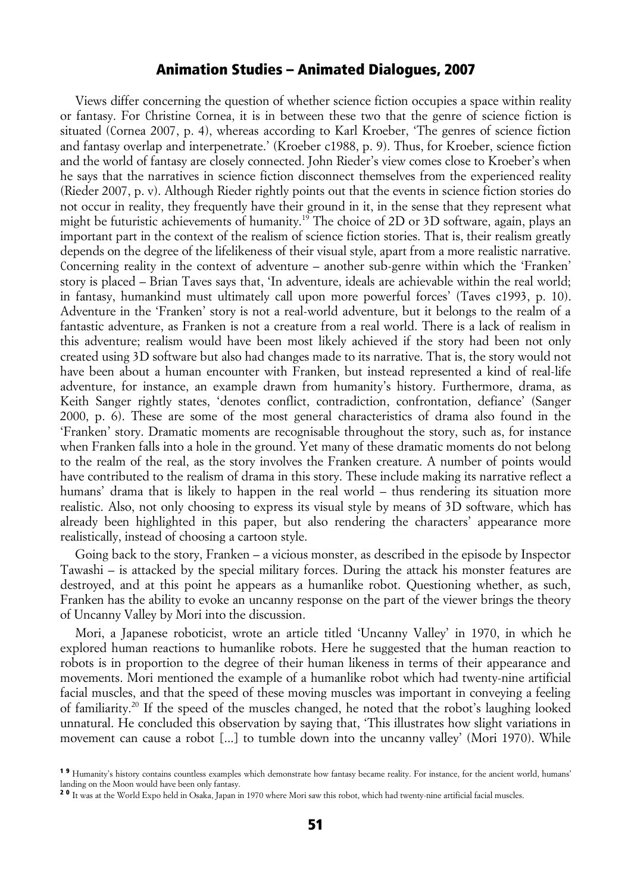Views differ concerning the question of whether science fiction occupies a space within reality or fantasy. For Christine Cornea, it is in between these two that the genre of science fiction is situated (Cornea 2007, p. 4), whereas according to Karl Kroeber, 'The genres of science fiction and fantasy overlap and interpenetrate.' (Kroeber c1988, p. 9). Thus, for Kroeber, science fiction and the world of fantasy are closely connected. John Rieder's view comes close to Kroeber's when he says that the narratives in science fiction disconnect themselves from the experienced reality (Rieder 2007, p. v). Although Rieder rightly points out that the events in science fiction stories do not occur in reality, they frequently have their ground in it, in the sense that they represent what might be futuristic achievements of humanity.<sup>[19](#page-5-0)</sup> The choice of 2D or 3D software, again, plays an important part in the context of the realism of science fiction stories. That is, their realism greatly depends on the degree of the lifelikeness of their visual style, apart from a more realistic narrative. Concerning reality in the context of adventure – another sub-genre within which the 'Franken' story is placed – Brian Taves says that, 'In adventure, ideals are achievable within the real world; in fantasy, humankind must ultimately call upon more powerful forces' (Taves c1993, p. 10). Adventure in the 'Franken' story is not a real-world adventure, but it belongs to the realm of a fantastic adventure, as Franken is not a creature from a real world. There is a lack of realism in this adventure; realism would have been most likely achieved if the story had been not only created using 3D software but also had changes made to its narrative. That is, the story would not have been about a human encounter with Franken, but instead represented a kind of real-life adventure, for instance, an example drawn from humanity's history. Furthermore, drama, as Keith Sanger rightly states, 'denotes conflict, contradiction, confrontation, defiance' (Sanger 2000, p. 6). These are some of the most general characteristics of drama also found in the 'Franken' story. Dramatic moments are recognisable throughout the story, such as, for instance when Franken falls into a hole in the ground. Yet many of these dramatic moments do not belong to the realm of the real, as the story involves the Franken creature. A number of points would have contributed to the realism of drama in this story. These include making its narrative reflect a humans' drama that is likely to happen in the real world – thus rendering its situation more realistic. Also, not only choosing to express its visual style by means of 3D software, which has already been highlighted in this paper, but also rendering the characters' appearance more realistically, instead of choosing a cartoon style.

Going back to the story, Franken – a vicious monster, as described in the episode by Inspector Tawashi – is attacked by the special military forces. During the attack his monster features are destroyed, and at this point he appears as a humanlike robot. Questioning whether, as such, Franken has the ability to evoke an uncanny response on the part of the viewer brings the theory of Uncanny Valley by Mori into the discussion.

Mori, a Japanese roboticist, wrote an article titled 'Uncanny Valley' in 1970, in which he explored human reactions to humanlike robots. Here he suggested that the human reaction to robots is in proportion to the degree of their human likeness in terms of their appearance and movements. Mori mentioned the example of a humanlike robot which had twenty-nine artificial facial muscles, and that the speed of these moving muscles was important in conveying a feeling of familiarity.[20](#page-5-1) If the speed of the muscles changed, he noted that the robot's laughing looked unnatural. He concluded this observation by saying that, 'This illustrates how slight variations in movement can cause a robot [...] to tumble down into the uncanny valley' (Mori 1970). While

<span id="page-5-0"></span><sup>&</sup>lt;sup>19</sup> Humanity's history contains countless examples which demonstrate how fantasy became reality. For instance, for the ancient world, humans' landing on the Moon would have been only fantasy.

<span id="page-5-1"></span><sup>&</sup>lt;sup>20</sup> It was at the World Expo held in Osaka, Japan in 1970 where Mori saw this robot, which had twenty-nine artificial facial muscles.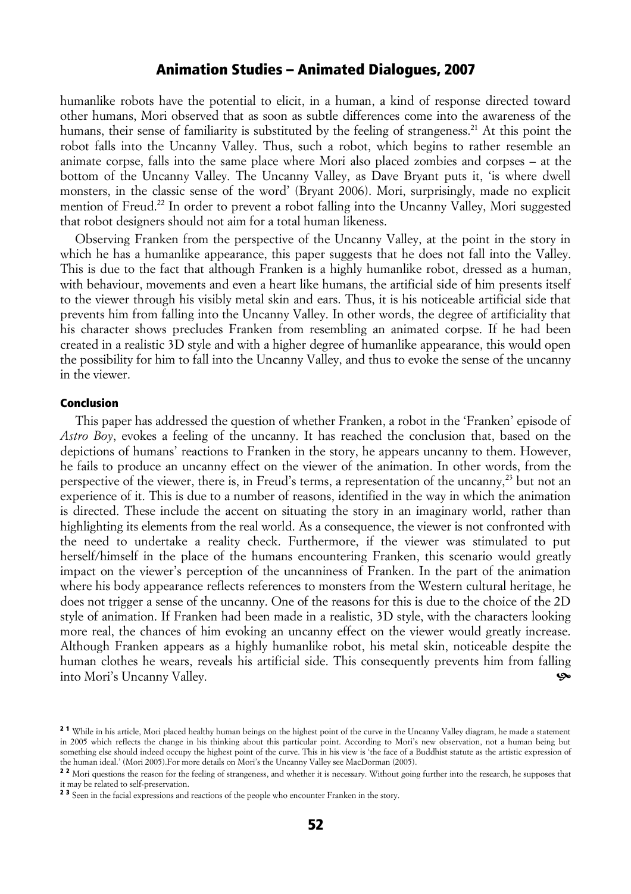humanlike robots have the potential to elicit, in a human, a kind of response directed toward other humans, Mori observed that as soon as subtle differences come into the awareness of the humans, their sense of familiarity is substituted by the feeling of strangeness.<sup>[21](#page-6-0)</sup> At this point the robot falls into the Uncanny Valley. Thus, such a robot, which begins to rather resemble an animate corpse, falls into the same place where Mori also placed zombies and corpses – at the bottom of the Uncanny Valley. The Uncanny Valley, as Dave Bryant puts it, 'is where dwell monsters, in the classic sense of the word' (Bryant 2006). Mori, surprisingly, made no explicit mention of Freud.<sup>[22](#page-6-1)</sup> In order to prevent a robot falling into the Uncanny Valley, Mori suggested that robot designers should not aim for a total human likeness.

Observing Franken from the perspective of the Uncanny Valley, at the point in the story in which he has a humanlike appearance, this paper suggests that he does not fall into the Valley. This is due to the fact that although Franken is a highly humanlike robot, dressed as a human, with behaviour, movements and even a heart like humans, the artificial side of him presents itself to the viewer through his visibly metal skin and ears. Thus, it is his noticeable artificial side that prevents him from falling into the Uncanny Valley. In other words, the degree of artificiality that his character shows precludes Franken from resembling an animated corpse. If he had been created in a realistic 3D style and with a higher degree of humanlike appearance, this would open the possibility for him to fall into the Uncanny Valley, and thus to evoke the sense of the uncanny in the viewer.

#### Conclusion

This paper has addressed the question of whether Franken, a robot in the 'Franken' episode of *Astro Boy*, evokes a feeling of the uncanny. It has reached the conclusion that, based on the depictions of humans' reactions to Franken in the story, he appears uncanny to them. However, he fails to produce an uncanny effect on the viewer of the animation. In other words, from the perspective of the viewer, there is, in Freud's terms, a representation of the uncanny,<sup>[23](#page-6-2)</sup> but not an experience of it. This is due to a number of reasons, identified in the way in which the animation is directed. These include the accent on situating the story in an imaginary world, rather than highlighting its elements from the real world. As a consequence, the viewer is not confronted with the need to undertake a reality check. Furthermore, if the viewer was stimulated to put herself/himself in the place of the humans encountering Franken, this scenario would greatly impact on the viewer's perception of the uncanniness of Franken. In the part of the animation where his body appearance reflects references to monsters from the Western cultural heritage, he does not trigger a sense of the uncanny. One of the reasons for this is due to the choice of the 2D style of animation. If Franken had been made in a realistic, 3D style, with the characters looking more real, the chances of him evoking an uncanny effect on the viewer would greatly increase. Although Franken appears as a highly humanlike robot, his metal skin, noticeable despite the human clothes he wears, reveals his artificial side. This consequently prevents him from falling into Mori's Uncanny Valley.

<span id="page-6-0"></span><sup>&</sup>lt;sup>21</sup> While in his article, Mori placed healthy human beings on the highest point of the curve in the Uncanny Valley diagram, he made a statement in 2005 which reflects the change in his thinking about this particular point. According to Mori's new observation, not a human being but something else should indeed occupy the highest point of the curve. This in his view is 'the face of a Buddhist statute as the artistic expression of the human ideal.' (Mori 2005).For more details on Mori's the Uncanny Valley see MacDorman (2005).

<span id="page-6-1"></span><sup>&</sup>lt;sup>2 2</sup> Mori questions the reason for the feeling of strangeness, and whether it is necessary. Without going further into the research, he supposes that it may be related to self-preservation.

<span id="page-6-2"></span><sup>&</sup>lt;sup>2</sup> <sup>3</sup> Seen in the facial expressions and reactions of the people who encounter Franken in the story.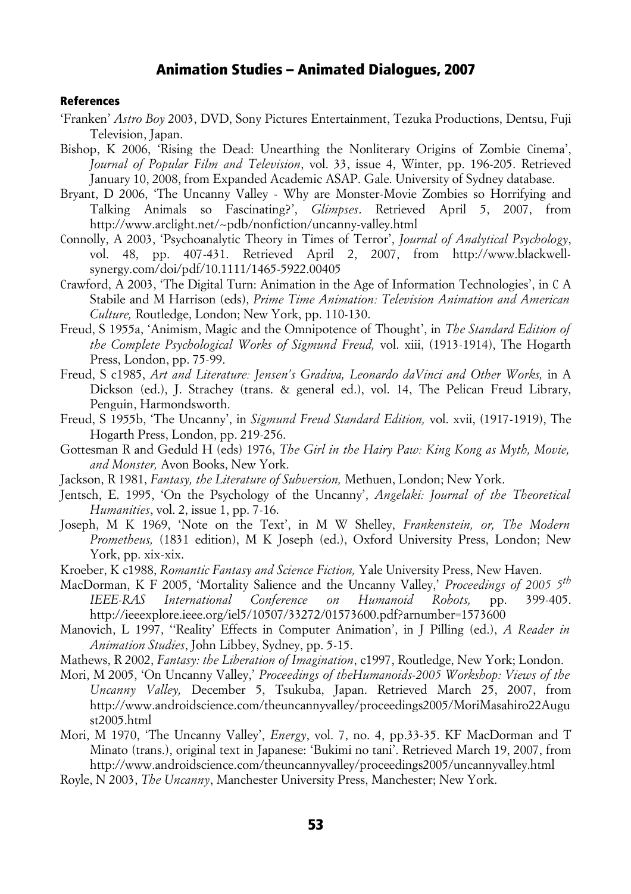#### References

- 'Franken' *Astro Boy* 2003, DVD, Sony Pictures Entertainment, Tezuka Productions, Dentsu, Fuji Television, Japan.
- Bishop, K 2006, 'Rising the Dead: Unearthing the Nonliterary Origins of Zombie Cinema', *Journal of Popular Film and Television*, vol. 33, issue 4, Winter, pp. 196-205. Retrieved January 10, 2008, from Expanded Academic ASAP. Gale. University of Sydney database.
- Bryant, D 2006, 'The Uncanny Valley Why are Monster-Movie Zombies so Horrifying and Talking Animals so Fascinating?', *Glimpses*. Retrieved April 5, 2007, from http://www.arclight.net/~pdb/nonfiction/uncanny-valley.html
- Connolly, A 2003, 'Psychoanalytic Theory in Times of Terror', *Journal of Analytical Psychology*, vol. 48, pp. 407-431. Retrieved April 2, 2007, from [http://www.blackwell](http://www.blackwell-synergy.com/doi/pdf/10.1111/1465-5922.00405)[synergy.com/doi/pdf/10.1111/1465-5922.00405](http://www.blackwell-synergy.com/doi/pdf/10.1111/1465-5922.00405)
- Crawford, A 2003, 'The Digital Turn: Animation in the Age of Information Technologies', in C A Stabile and M Harrison (eds), *Prime Time Animation: Television Animation and American Culture,* Routledge, London; New York, pp. 110-130.
- Freud, S 1955a, 'Animism, Magic and the Omnipotence of Thought', in *The Standard Edition of the Complete Psychological Works of Sigmund Freud,* vol. xiii, (1913-1914), The Hogarth Press, London, pp. 75-99.
- Freud, S c1985, *Art and Literature: Jensen's Gradiva, Leonardo daVinci and Other Works,* in A Dickson (ed.), J. Strachey (trans. & general ed.), vol. 14, The Pelican Freud Library, Penguin, Harmondsworth.
- Freud, S 1955b, 'The Uncanny', in *Sigmund Freud Standard Edition,* vol. xvii, (1917-1919), The Hogarth Press, London, pp. 219-256.
- Gottesman R and Geduld H (eds) 1976, *The Girl in the Hairy Paw: King Kong as Myth, Movie, and Monster,* Avon Books, New York.
- Jackson, R 1981, *Fantasy, the Literature of Subversion,* Methuen, London; New York.
- Jentsch, E. 1995, 'On the Psychology of the Uncanny', *Angelaki: Journal of the Theoretical Humanities*, vol. 2, issue 1, pp. 7-16.
- Joseph, M K 1969, 'Note on the Text', in M W Shelley, *Frankenstein, or, The Modern Prometheus,* (1831 edition), M K Joseph (ed.), Oxford University Press, London; New York, pp. xix-xix.
- Kroeber, K c1988, *Romantic Fantasy and Science Fiction,* Yale University Press, New Haven.
- MacDorman, K F 2005, 'Mortality Salience and the Uncanny Valley,' *Proceedings of 2005 5th IEEE-RAS International Conference on Humanoid Robots,* pp. 399-405. http://ieeexplore.ieee.org/iel5/10507/33272/01573600.pdf?arnumber=1573600
- Manovich, L 1997, ''Reality' Effects in Computer Animation', in J Pilling (ed.), *A Reader in Animation Studies*, John Libbey, Sydney, pp. 5-15.
- Mathews, R 2002, *Fantasy: the Liberation of Imagination*, c1997, Routledge, New York; London.
- Mori, M 2005, 'On Uncanny Valley,' *Proceedings of theHumanoids-2005 Workshop: Views of the Uncanny Valley,* December 5, Tsukuba, Japan. Retrieved March 25, 2007, from [http://www.androidscience.com/theuncannyvalley/proceedings2005/MoriMasahiro22Augu](http://www.androidscience.com/theuncannyvalley/proceedings2005/MoriMasahiro22August2005.html) [st2005.html](http://www.androidscience.com/theuncannyvalley/proceedings2005/MoriMasahiro22August2005.html)
- Mori, M 1970, 'The Uncanny Valley', *Energy*, vol. 7, no. 4, pp.33-35. KF MacDorman and T Minato (trans.), original text in Japanese: 'Bukimi no tani'. Retrieved March 19, 2007, from <http://www.androidscience.com/theuncannyvalley/proceedings2005/uncannyvalley.html>
- Royle, N 2003, *The Uncanny*, Manchester University Press, Manchester; New York.